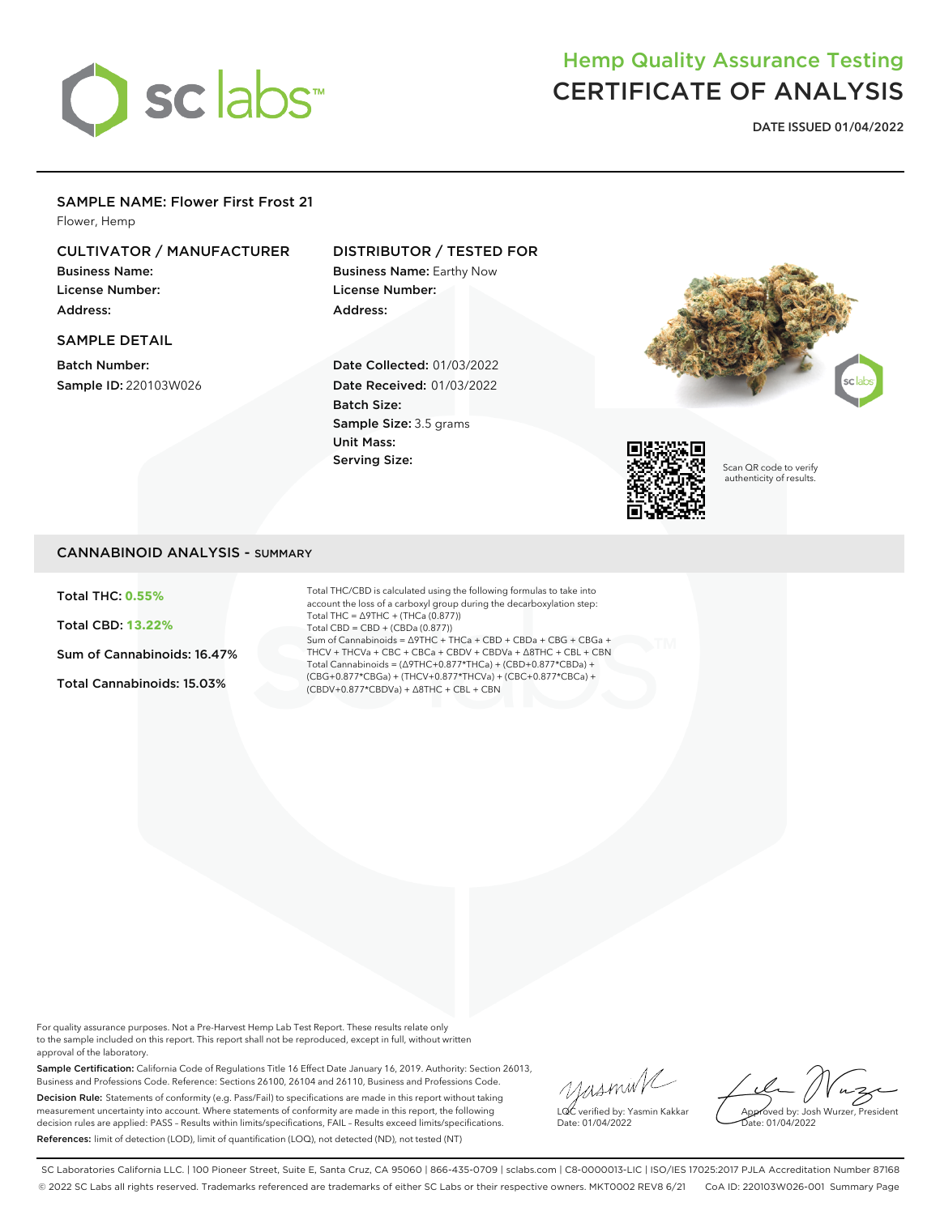

# Hemp Quality Assurance Testing CERTIFICATE OF ANALYSIS

**DATE ISSUED 01/04/2022**

### SAMPLE NAME: Flower First Frost 21

Flower, Hemp

### CULTIVATOR / MANUFACTURER

Business Name: License Number: Address:

SAMPLE DETAIL

Batch Number: Sample ID: 220103W026

### DISTRIBUTOR / TESTED FOR

Business Name: Earthy Now License Number: Address:

Date Collected: 01/03/2022 Date Received: 01/03/2022 Batch Size: Sample Size: 3.5 grams Unit Mass: Serving Size:





Scan QR code to verify authenticity of results.

### CANNABINOID ANALYSIS - SUMMARY

Total THC: **0.55%**

Total CBD: **13.22%**

Sum of Cannabinoids: 16.47%

Total Cannabinoids: 15.03%

Total THC/CBD is calculated using the following formulas to take into account the loss of a carboxyl group during the decarboxylation step: Total THC = ∆9THC + (THCa (0.877)) Total CBD = CBD + (CBDa (0.877)) Sum of Cannabinoids = ∆9THC + THCa + CBD + CBDa + CBG + CBGa + THCV + THCVa + CBC + CBCa + CBDV + CBDVa + ∆8THC + CBL + CBN Total Cannabinoids = (∆9THC+0.877\*THCa) + (CBD+0.877\*CBDa) + (CBG+0.877\*CBGa) + (THCV+0.877\*THCVa) + (CBC+0.877\*CBCa) + (CBDV+0.877\*CBDVa) + ∆8THC + CBL + CBN

For quality assurance purposes. Not a Pre-Harvest Hemp Lab Test Report. These results relate only to the sample included on this report. This report shall not be reproduced, except in full, without written approval of the laboratory.

Sample Certification: California Code of Regulations Title 16 Effect Date January 16, 2019. Authority: Section 26013, Business and Professions Code. Reference: Sections 26100, 26104 and 26110, Business and Professions Code. Decision Rule: Statements of conformity (e.g. Pass/Fail) to specifications are made in this report without taking measurement uncertainty into account. Where statements of conformity are made in this report, the following decision rules are applied: PASS – Results within limits/specifications, FAIL – Results exceed limits/specifications. References: limit of detection (LOD), limit of quantification (LOQ), not detected (ND), not tested (NT)

yusmink LQC verified by: Yasmin Kakkar Date: 01/04/2022

Approved by: Josh Wurzer, President Date: 01/04/2022

SC Laboratories California LLC. | 100 Pioneer Street, Suite E, Santa Cruz, CA 95060 | 866-435-0709 | sclabs.com | C8-0000013-LIC | ISO/IES 17025:2017 PJLA Accreditation Number 87168 © 2022 SC Labs all rights reserved. Trademarks referenced are trademarks of either SC Labs or their respective owners. MKT0002 REV8 6/21 CoA ID: 220103W026-001 Summary Page